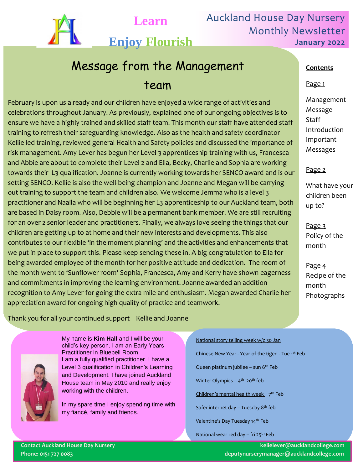

Auckland House Day Nursery Monthly Newsletter **January 2022**

# **Enjoy Flourish**

**Learn**

# Message from the Management team

February is upon us already and our children have enjoyed a wide range of activities and celebrations throughout January. As previously, explained one of our ongoing objectives is to ensure we have a highly trained and skilled staff team. This month our staff have attended staff training to refresh their safeguarding knowledge. Also as the health and safety coordinator Kellie led training, reviewed general Health and Safety policies and discussed the importance of risk management. Amy Lever has begun her Level 3 apprenticeship training with us, Francesca and Abbie are about to complete their Level 2 and Ella, Becky, Charlie and Sophia are working towards their L3 qualification. Joanne is currently working towards her SENCO award and is our setting SENCO. Kellie is also the well-being champion and Joanne and Megan will be carrying out training to support the team and children also. We welcome Jemma who is a level 3 practitioner and Naaila who will be beginning her L3 apprenticeship to our Auckland team, both are based in Daisy room. Also, Debbie will be a permanent bank member. We are still recruiting for an over 2 senior leader and practitioners. Finally, we always love seeing the things that our children are getting up to at home and their new interests and developments. This also contributes to our flexible 'in the moment planning' and the activities and enhancements that we put in place to support this. Please keep sending these in. A big congratulation to Ella for being awarded employee of the month for her positive attitude and dedication. The room of the month went to 'Sunflower room' Sophia, Francesca, Amy and Kerry have shown eagerness and commitments in improving the learning environment. Joanne awarded an addition recognition to Amy Lever for going the extra mile and enthusiasm. Megan awarded Charlie her appreciation award for ongoing high quality of practice and teamwork.

# **Contents**

### Page 1

Management Message **Staff** Introduction Important Messages

# Page 2

What have your children been up to?

Page 3 Policy of the month

Page 4 Recipe of the month Photographs

Thank you for all your continued support Kellie and Joanne



Thank you Kellie and Joanne and Joanne and Joanne and Joanne and Joanne and Joanne and Joanne and Joanne and Joanne and Joanne and Joanne and Joanne and Joanne and Joanne and Joanne and Joanne and Joanne and Joanne and Joa My name is **Kim Hall** and I will be your child's key person. I am an Early Years I am a fully qualified practitioner. I have a Level 3 qualification in Children's Learning and Development. I have joined Auckland House team in May 2010 and really enjoy working with the children.

> In my spare time I enjoy spending time with my fiancé, family and friends.

#### National story telling week w/c 30 Jan

Chinese New Year - Year of the tiger - Tue 1st Feb

Queen platinum jubilee - sun 6<sup>th</sup> Feb

Winter Olympics – 4<sup>th</sup> -20<sup>th</sup> feb

Children's mental health week 7<sup>th</sup> Feb

Safer internet day – Tuesday 8<sup>th</sup> feb

Valentine's Day Tuesday 14<sup>th</sup> Feb

National wear red day - fri 25<sup>th</sup> Feb

**Contact Auckland House Day Nursery kelielever@aucklandcollege.com Phone: 0151 727 0083 deputynurserymanager@aucklandcollege.com**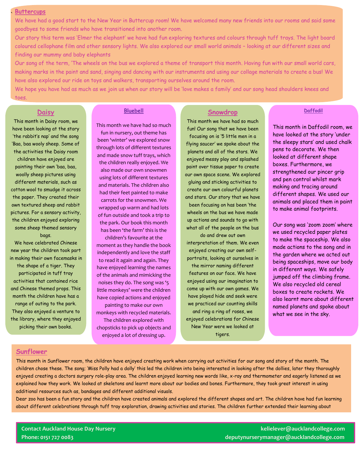#### **Buttercups**

`

We have had a good start to the New Year in Buttercup room! We have welcomed many new friends into our rooms and said some goodbyes to some friends who have transitioned into another room.

Our story this term was 'Elmer the elephant' we have had fun exploring textures and colours through tuff trays. The light board coloured cellophane film and other sensory lights. We also explored our small world animals – looking at our different sizes and finding our mummy and baby elephants

Our song of the term, 'The wheels on the bus we explored a theme of transport this month. Having fun with our small world cars, making marks in the paint and sand, singing and dancing with our instruments and using our collage materials to create a bus! We have also explored our ride on toys and walkers, transporting ourselves around the room.

We hope you have had as much as we join us when our story will be 'love makes a family' and our song head shoulders knees and toes.

#### **Daisy**

This month in Daisy room, we have been looking at the story 'the rabbit's nap' and the song 'Baa, baa wooly sheep. Some of the activities the Daisy room children have enjoyed are painting their own 'baa, baa, woolly sheep pictures using different materials, such as cotton wool to smudge it across the paper. They created their own textured sheep and rabbit pictures. For a sensory activity, the children enjoyed exploring some sheep themed sensory bags.

We have celebrated Chinese new year the children took part in making their own facemasks in the shape of a tiger. They participated in tuff tray activities that contained rice and Chinese themed props. This month the children have has a range of outing to the park. They also enjoyed a venture to the library, where they enjoyed picking their own books.

#### **Bluebell**

This month we have had so much fun in nursery, out theme has been 'winter' we explored snow through lots of different textures and made snow tuff trays, which the children really enjoyed. We also made our own snowmen using lots of different textures and materials. The children also had their feet painted to make carrots for the snowmen. We wrapped up warm and had lots of fun outside and took a trip to the park. Our book this month has been 'the farm' this is the

children's favourite at the moment as they handle the book independently and love the staff to read it again and again. They have enjoyed learning the names of the animals and mimicking the noises they do. The song was '5 little monkeys' were the children have copied actions and enjoyed

painting to make our own monkeys with recycled materials.

The children explored with chopsticks to pick up objects and enjoyed a lot of dressing up.

#### **Snowdrop**

This month we have had so much fun! Our song that we have been focusing on is '5 little men in a flying saucer' we spoke about the planets and all of the stars. We enjoyed messy play and splashed paint over tissue paper to create our own space scene. We explored gluing and sticking activities to

create our own colourful planets and stars. Our story that we have

been focusing on has been 'the wheels on the bus we have made up actions and sounds to go with what all of the people on the bus

do and drew out own interpretation of them. We even enjoyed creating our own selfportraits, looking at ourselves in

the mirror naming different features on our face. We have enjoyed using our imagination to come up with our own games. We have played hide and seek were we practiced our counting skills and ring a ring of roses, we enjoyed celebrations for Chinese New Year were we looked at tigers.

This month in Daffodil room, we have looked at the story 'under the sleepy stars' and used chalk pens to decorate. We then looked at different shape boxes. Furthermore, we strengthened our pincer grip and pen control whilst mark making and tracing around different shapes. We used our animals and placed them in paint to make animal footprints.

**Daffodil**

Our song was 'zoom zoom' where we used recycled paper plates to make the spaceship. We also made actions to the song and in the garden where we acted out being spaceships, move our body in different ways. We safely jumped off the climbing frame. We also recycled old cereal boxes to create rockets. We also learnt more about different named planets and spoke about what we see in the sky.

#### **Sunflower**

This month in Sunflower room, the children have enjoyed creating work when carrying out activities for our song and story of the month. The children chose these. The song; 'Miss Polly had a dolly' this led the children into being interested in looking after the dollies, later they thoroughly enjoyed creating a doctors surgery role-play area. The children enjoyed learning new words like, x-ray and thermometer and eagerly listened as we explained how they work. We looked at skeletons and learnt more about our bodies and bones. Furthermore, they took great interest in using additional resources such as, bandages and different additional visuals.

Dear zoo has been a fun story and the children have created animals and explored the different shapes and art. The children have had fun learning about different celebrations through tuff tray exploration, drawing activities and stories. The children further extended their learning about

**Contact Auckland House Day Nursery kelielever@aucklandcollege.com Phone: 0151 727 0083 deputynurserymanager@aucklandcollege.com**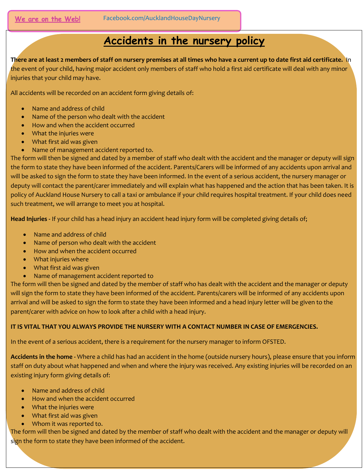# **Accidents in the nursery policy**

**There are at least 2 members of staff on nursery premises at all times who have a current up to date first aid certificate.** In the event of your child, having major accident only members of staff who hold a first aid certificate will deal with any minor injuries that your child may have.

All accidents will be recorded on an accident form giving details of:

- Name and address of child
- Name of the person who dealt with the accident
- How and when the accident occurred
- What the injuries were
- What first aid was given
- Name of management accident reported to.

The form will then be signed and dated by a member of staff who dealt with the accident and the manager or deputy will sign the form to state they have been informed of the accident. Parents/Carers will be informed of any accidents upon arrival and will be asked to sign the form to state they have been informed. In the event of a serious accident, the nursery manager or deputy will contact the parent/carer immediately and will explain what has happened and the action that has been taken. It is policy of Auckland House Nursery to call a taxi or ambulance if your child requires hospital treatment. If your child does need such treatment, we will arrange to meet you at hospital.

**Head Injuries -** If your child has a head injury an accident head injury form will be completed giving details of;

- Name and address of child
- Name of person who dealt with the accident
- How and when the accident occurred
- What injuries where
- What first aid was given
- Name of management accident reported to

The form will then be signed and dated by the member of staff who has dealt with the accident and the manager or deputy will sign the form to state they have been informed of the accident. Parents/carers will be informed of any accidents upon arrival and will be asked to sign the form to state they have been informed and a head injury letter will be given to the parent/carer with advice on how to look after a child with a head injury.

## **IT IS VITAL THAT YOU ALWAYS PROVIDE THE NURSERY WITH A CONTACT NUMBER IN CASE OF EMERGENCIES.**

In the event of a serious accident, there is a requirement for the nursery manager to inform OFSTED.

**Accidents in the home -** Where a child has had an accident in the home (outside nursery hours), please ensure that you inform staff on duty about what happened and when and where the injury was received. Any existing injuries will be recorded on an existing injury form giving details of:

- Name and address of child
- How and when the accident occurred
- What the injuries were
- What first aid was given
- Whom it was reported to.

The form will then be signed and dated by the member of staff who dealt with the accident and the manager or deputy will sign the form to state they have been informed of the accident.